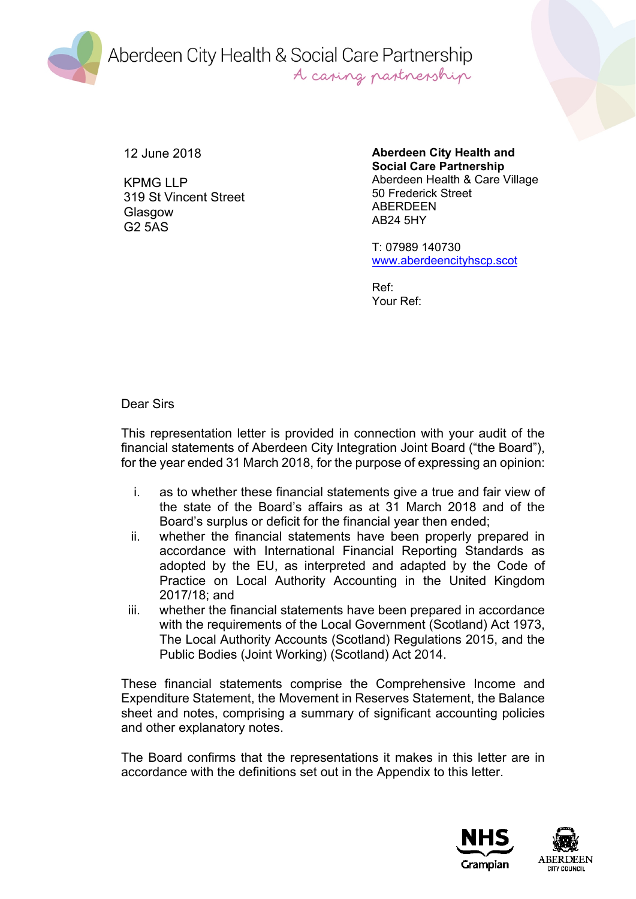Aberdeen City Health & Social Care Partnership A casing partnership

12 June 2018

KPMG LLP 319 St Vincent Street Glasgow G2 5AS

**Aberdeen City Health and Social Care Partnership** Aberdeen Health & Care Village 50 Frederick Street **ABERDEEN** AB24 5HY

T: 07989 140730 [www.aberdeencityhscp.scot](http://www.aberdeencityhscp.scot/)

Ref: Your Ref:

Dear Sirs

This representation letter is provided in connection with your audit of the financial statements of Aberdeen City Integration Joint Board ("the Board"), for the year ended 31 March 2018, for the purpose of expressing an opinion:

- i. as to whether these financial statements give a true and fair view of the state of the Board's affairs as at 31 March 2018 and of the Board's surplus or deficit for the financial year then ended;
- ii. whether the financial statements have been properly prepared in accordance with International Financial Reporting Standards as adopted by the EU, as interpreted and adapted by the Code of Practice on Local Authority Accounting in the United Kingdom 2017/18; and
- iii. whether the financial statements have been prepared in accordance with the requirements of the Local Government (Scotland) Act 1973, The Local Authority Accounts (Scotland) Regulations 2015, and the Public Bodies (Joint Working) (Scotland) Act 2014.

These financial statements comprise the Comprehensive Income and Expenditure Statement, the Movement in Reserves Statement, the Balance sheet and notes, comprising a summary of significant accounting policies and other explanatory notes.

The Board confirms that the representations it makes in this letter are in accordance with the definitions set out in the Appendix to this letter.

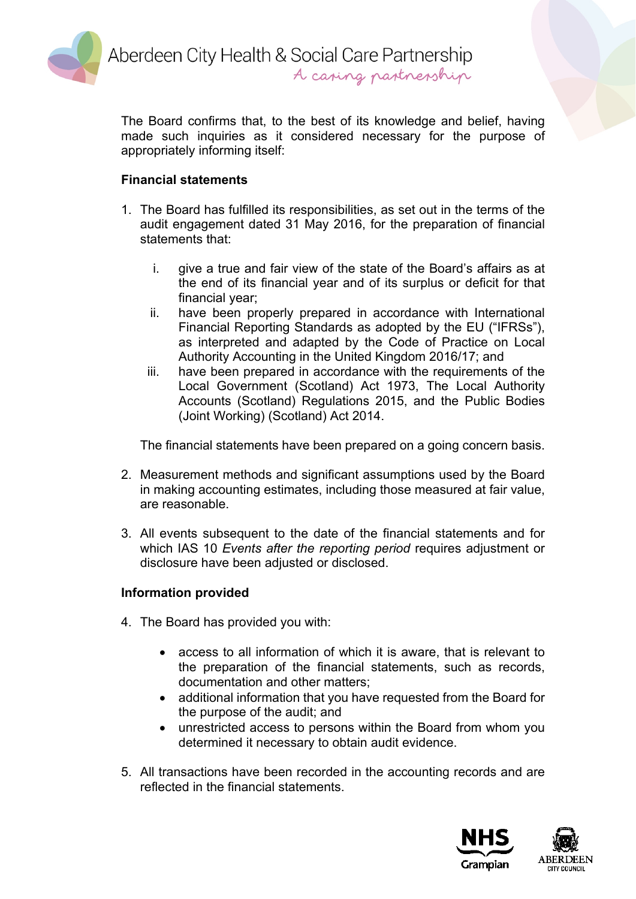

Aberdeen City Health & Social Care Partnership A casing partnership

The Board confirms that, to the best of its knowledge and belief, having made such inquiries as it considered necessary for the purpose of appropriately informing itself:

## **Financial statements**

- 1. The Board has fulfilled its responsibilities, as set out in the terms of the audit engagement dated 31 May 2016, for the preparation of financial statements that:
	- i. give a true and fair view of the state of the Board's affairs as at the end of its financial year and of its surplus or deficit for that financial year;
	- ii. have been properly prepared in accordance with International Financial Reporting Standards as adopted by the EU ("IFRSs"), as interpreted and adapted by the Code of Practice on Local Authority Accounting in the United Kingdom 2016/17; and
	- iii. have been prepared in accordance with the requirements of the Local Government (Scotland) Act 1973, The Local Authority Accounts (Scotland) Regulations 2015, and the Public Bodies (Joint Working) (Scotland) Act 2014.

The financial statements have been prepared on a going concern basis.

- 2. Measurement methods and significant assumptions used by the Board in making accounting estimates, including those measured at fair value, are reasonable.
- 3. All events subsequent to the date of the financial statements and for which IAS 10 *Events after the reporting period* requires adjustment or disclosure have been adjusted or disclosed.

#### **Information provided**

- 4. The Board has provided you with:
	- access to all information of which it is aware, that is relevant to the preparation of the financial statements, such as records, documentation and other matters;
	- additional information that you have requested from the Board for the purpose of the audit; and
	- unrestricted access to persons within the Board from whom you determined it necessary to obtain audit evidence.
- 5. All transactions have been recorded in the accounting records and are reflected in the financial statements.

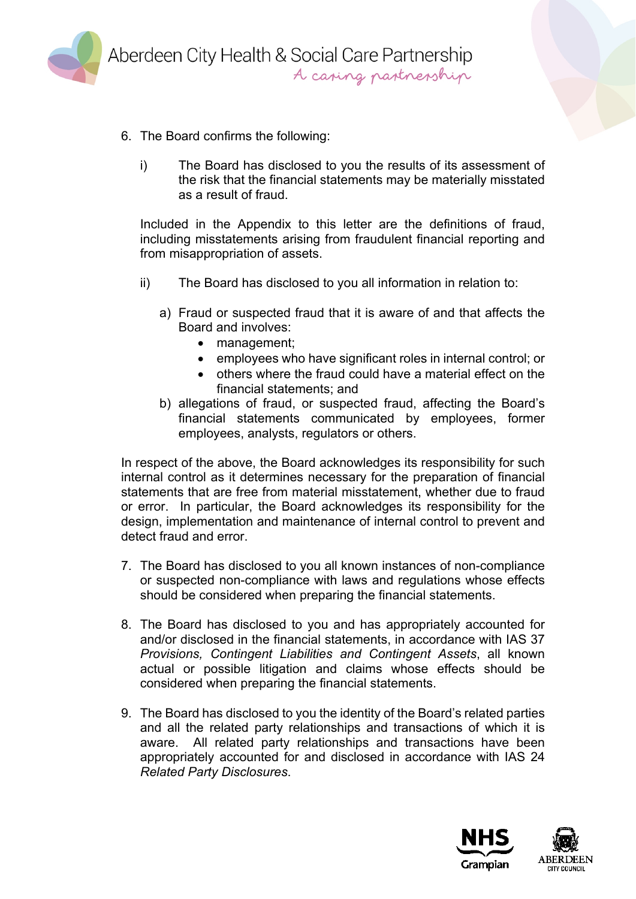

- 6. The Board confirms the following:
	- i) The Board has disclosed to you the results of its assessment of the risk that the financial statements may be materially misstated as a result of fraud.

Included in the Appendix to this letter are the definitions of fraud, including misstatements arising from fraudulent financial reporting and from misappropriation of assets.

- ii) The Board has disclosed to you all information in relation to:
	- a) Fraud or suspected fraud that it is aware of and that affects the Board and involves:
		- management;
		- employees who have significant roles in internal control; or
		- others where the fraud could have a material effect on the financial statements; and
	- b) allegations of fraud, or suspected fraud, affecting the Board's financial statements communicated by employees, former employees, analysts, regulators or others.

In respect of the above, the Board acknowledges its responsibility for such internal control as it determines necessary for the preparation of financial statements that are free from material misstatement, whether due to fraud or error. In particular, the Board acknowledges its responsibility for the design, implementation and maintenance of internal control to prevent and detect fraud and error.

- 7. The Board has disclosed to you all known instances of non-compliance or suspected non-compliance with laws and regulations whose effects should be considered when preparing the financial statements.
- 8. The Board has disclosed to you and has appropriately accounted for and/or disclosed in the financial statements, in accordance with IAS 37 *Provisions, Contingent Liabilities and Contingent Assets*, all known actual or possible litigation and claims whose effects should be considered when preparing the financial statements.
- 9. The Board has disclosed to you the identity of the Board's related parties and all the related party relationships and transactions of which it is aware. All related party relationships and transactions have been appropriately accounted for and disclosed in accordance with IAS 24 *Related Party Disclosures*.

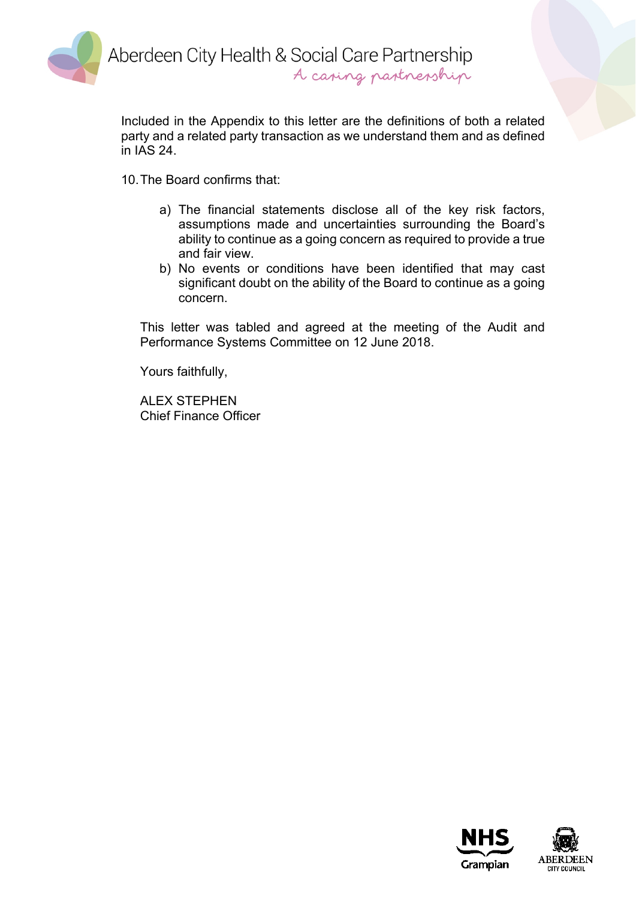

Aberdeen City Health & Social Care Partnership A caping partnership

Included in the Appendix to this letter are the definitions of both a related party and a related party transaction as we understand them and as defined in IAS 24.

10.The Board confirms that:

- a) The financial statements disclose all of the key risk factors, assumptions made and uncertainties surrounding the Board's ability to continue as a going concern as required to provide a true and fair view.
- b) No events or conditions have been identified that may cast significant doubt on the ability of the Board to continue as a going concern.

This letter was tabled and agreed at the meeting of the Audit and Performance Systems Committee on 12 June 2018.

Yours faithfully,

ALEX STEPHEN Chief Finance Officer

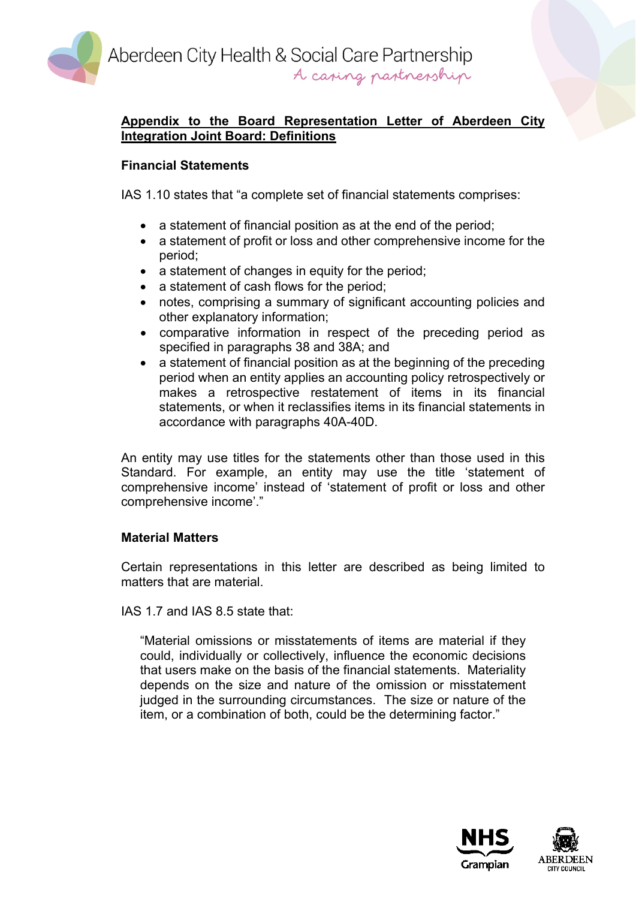Aberdeen City Health & Social Care Partnership A casing pastnesship



## **Appendix to the Board Representation Letter of Aberdeen City Integration Joint Board: Definitions**

# **Financial Statements**

IAS 1.10 states that "a complete set of financial statements comprises:

- a statement of financial position as at the end of the period;
- a statement of profit or loss and other comprehensive income for the period;
- a statement of changes in equity for the period;
- a statement of cash flows for the period;
- notes, comprising a summary of significant accounting policies and other explanatory information;
- comparative information in respect of the preceding period as specified in paragraphs 38 and 38A; and
- a statement of financial position as at the beginning of the preceding period when an entity applies an accounting policy retrospectively or makes a retrospective restatement of items in its financial statements, or when it reclassifies items in its financial statements in accordance with paragraphs 40A-40D.

An entity may use titles for the statements other than those used in this Standard. For example, an entity may use the title 'statement of comprehensive income' instead of 'statement of profit or loss and other comprehensive income'."

## **Material Matters**

Certain representations in this letter are described as being limited to matters that are material.

IAS 1.7 and IAS 8.5 state that:

"Material omissions or misstatements of items are material if they could, individually or collectively, influence the economic decisions that users make on the basis of the financial statements. Materiality depends on the size and nature of the omission or misstatement judged in the surrounding circumstances. The size or nature of the item, or a combination of both, could be the determining factor."

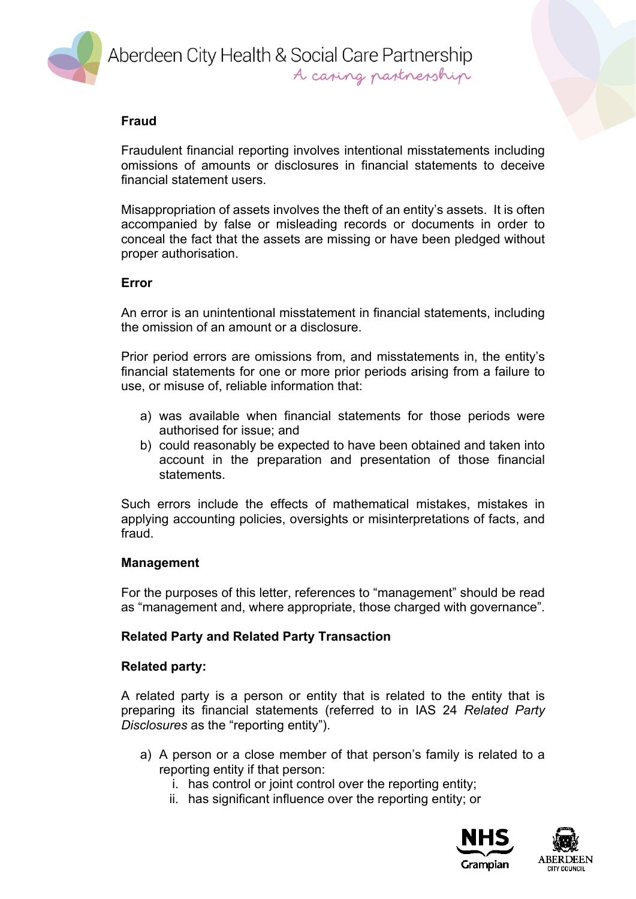

### **Fraud**

Fraudulent financial reporting involves intentional misstatements including omissions of amounts or disclosures in financial statements to deceive financial statement users.

Misappropriation of assets involves the theft of an entity's assets. It is often accompanied by false or misleading records or documents in order to conceal the fact that the assets are missing or have been pledged without proper authorisation.

#### **Error**

An error is an unintentional misstatement in financial statements, including the omission of an amount or a disclosure.

Prior period errors are omissions from, and misstatements in, the entity's financial statements for one or more prior periods arising from a failure to use, or misuse of, reliable information that:

- a) was available when financial statements for those periods were authorised for issue; and
- b) could reasonably be expected to have been obtained and taken into account in the preparation and presentation of those financial statements.

Such errors include the effects of mathematical mistakes, mistakes in applying accounting policies, oversights or misinterpretations of facts, and fraud.

#### **Management**

For the purposes of this letter, references to "management" should be read as "management and, where appropriate, those charged with governance".

#### **Related Party and Related Party Transaction**

#### **Related party:**

A related party is a person or entity that is related to the entity that is preparing its financial statements (referred to in IAS 24 *Related Party Disclosures* as the "reporting entity").

- a) A person or a close member of that person's family is related to a reporting entity if that person:
	- i. has control or joint control over the reporting entity;
	- ii. has significant influence over the reporting entity; or